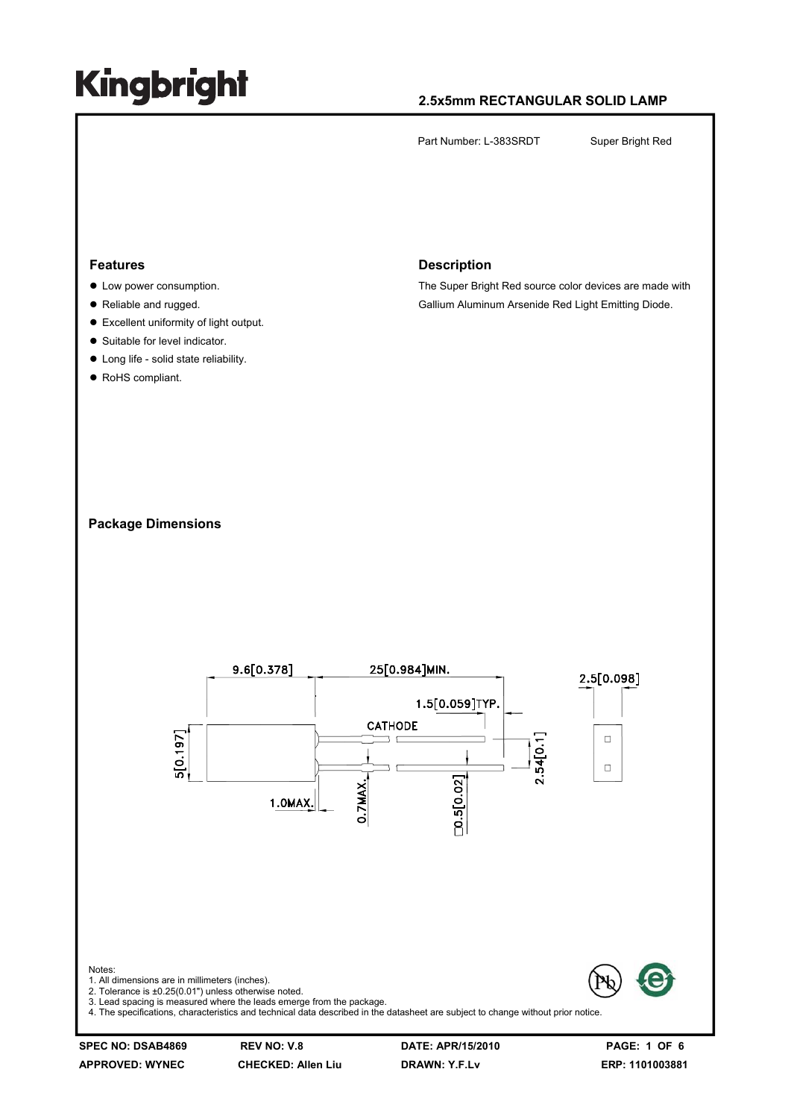### **2.5x5mm RECTANGULAR SOLID LAMP**

Part Number: L-383SRDT Super Bright Red

#### **Features**

- $\bullet$  Low power consumption.
- Reliable and rugged.
- $\bullet$  Excellent uniformity of light output.
- Suitable for level indicator.
- $\bullet$  Long life solid state reliability.
- RoHS compliant.

#### **Description**

The Super Bright Red source color devices are made with Gallium Aluminum Arsenide Red Light Emitting Diode.

#### **Package Dimensions**

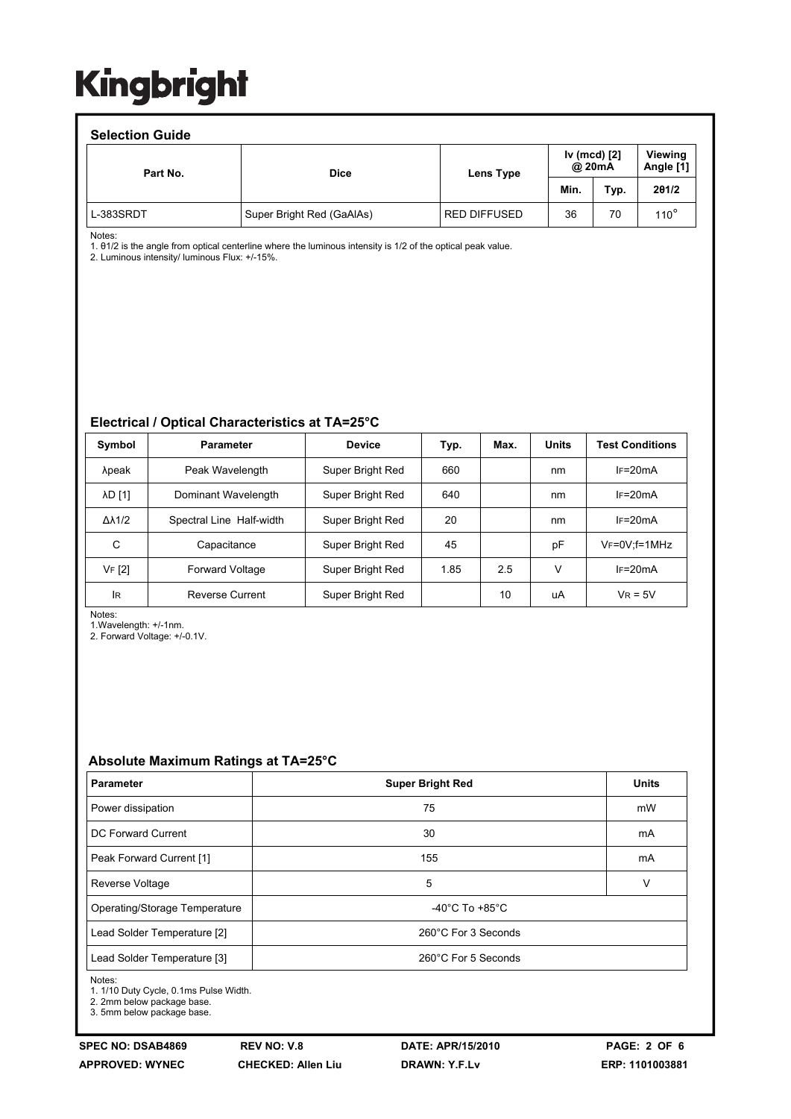### **Selection Guide**

| OCICONUI OUIUC<br>Part No. | <b>Dice</b>               | Lens Type           | Iv (mcd) [2]<br>@ 20mA |      | Viewing<br>Angle [1] |
|----------------------------|---------------------------|---------------------|------------------------|------|----------------------|
|                            |                           |                     | Min.                   | Typ. | 201/2                |
| L-383SRDT                  | Super Bright Red (GaAlAs) | <b>RED DIFFUSED</b> | 36                     | 70   | $110^{\circ}$        |

Notes:

1. θ1/2 is the angle from optical centerline where the luminous intensity is 1/2 of the optical peak value.

2. Luminous intensity/ luminous Flux: +/-15%.

#### **Electrical / Optical Characteristics at TA=25°C**

| Symbol              | <b>Parameter</b>         | <b>Device</b>    | Typ. | Max. | <b>Units</b> | <b>Test Conditions</b> |
|---------------------|--------------------------|------------------|------|------|--------------|------------------------|
| λpeak               | Peak Wavelength          | Super Bright Red | 660  |      | nm           | $IF=20mA$              |
| <b>AD [1]</b>       | Dominant Wavelength      | Super Bright Red | 640  |      | nm           | $IF=20mA$              |
| $\Delta\lambda$ 1/2 | Spectral Line Half-width | Super Bright Red | 20   |      | nm           | $IF=20mA$              |
| С                   | Capacitance              | Super Bright Red | 45   |      | pF           | $V_F = 0V$ : f = 1 MHz |
| VF [2]              | <b>Forward Voltage</b>   | Super Bright Red | 1.85 | 2.5  | v            | $IF=20mA$              |
| <b>IR</b>           | <b>Reverse Current</b>   | Super Bright Red |      | 10   | uA           | $V_R = 5V$             |

Notes:

1.Wavelength: +/-1nm. 2. Forward Voltage: +/-0.1V.

#### **Absolute Maximum Ratings at TA=25°C**

| <b>Parameter</b>              | <b>Super Bright Red</b>              | <b>Units</b> |  |  |
|-------------------------------|--------------------------------------|--------------|--|--|
| Power dissipation             | 75                                   | mW           |  |  |
| DC Forward Current            | 30                                   | mA           |  |  |
| Peak Forward Current [1]      | 155                                  | mA           |  |  |
| Reverse Voltage               | 5                                    | V            |  |  |
| Operating/Storage Temperature | -40 $^{\circ}$ C To +85 $^{\circ}$ C |              |  |  |
| Lead Solder Temperature [2]   | 260°C For 3 Seconds                  |              |  |  |
| Lead Solder Temperature [3]   | 260°C For 5 Seconds                  |              |  |  |

Notes:

1. 1/10 Duty Cycle, 0.1ms Pulse Width.

2. 2mm below package base.

3. 5mm below package base.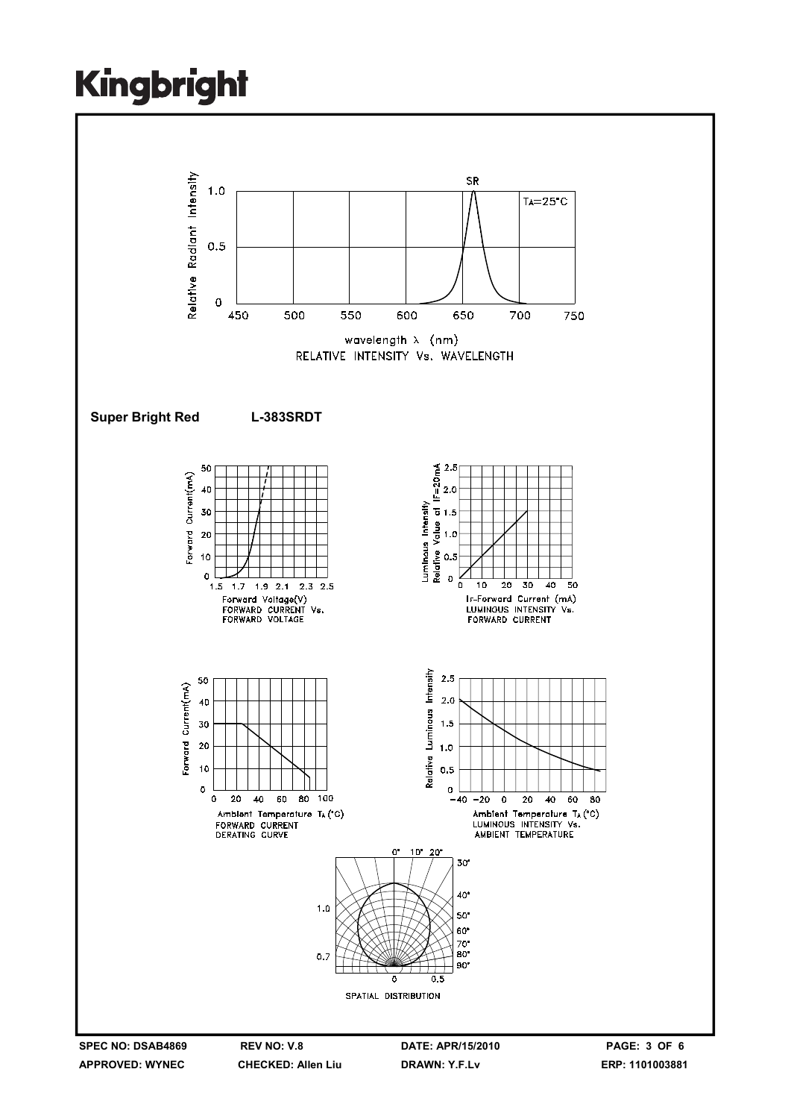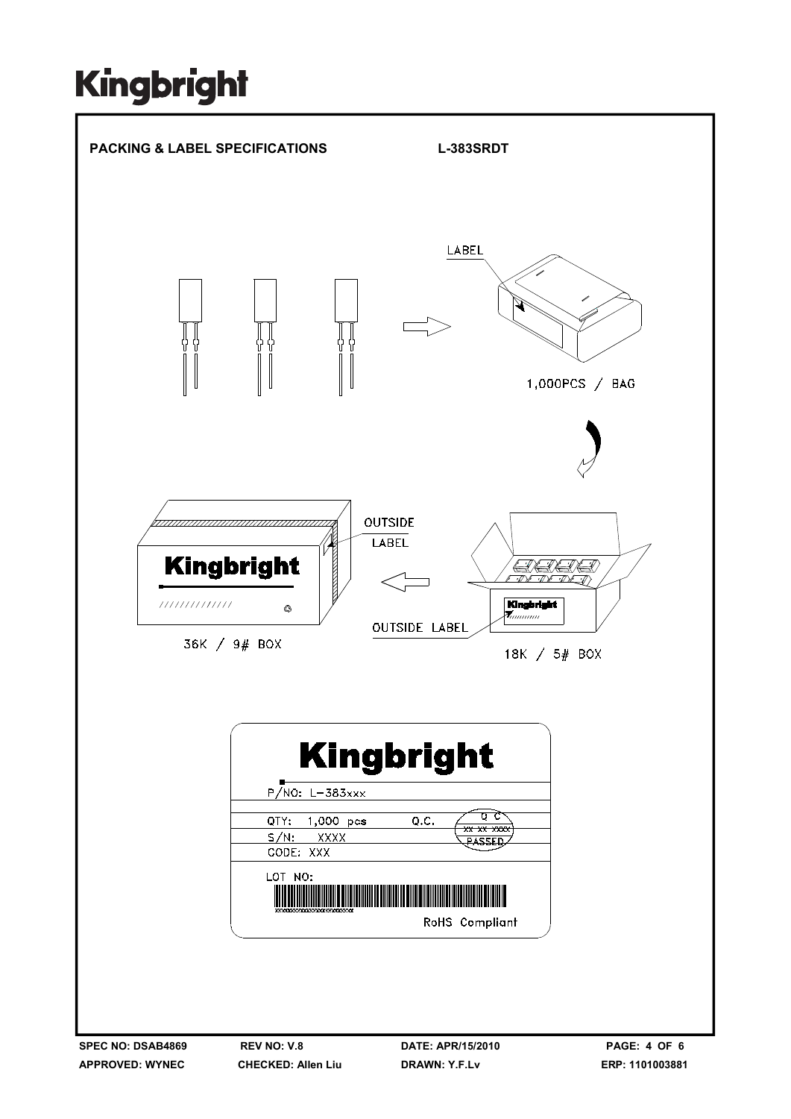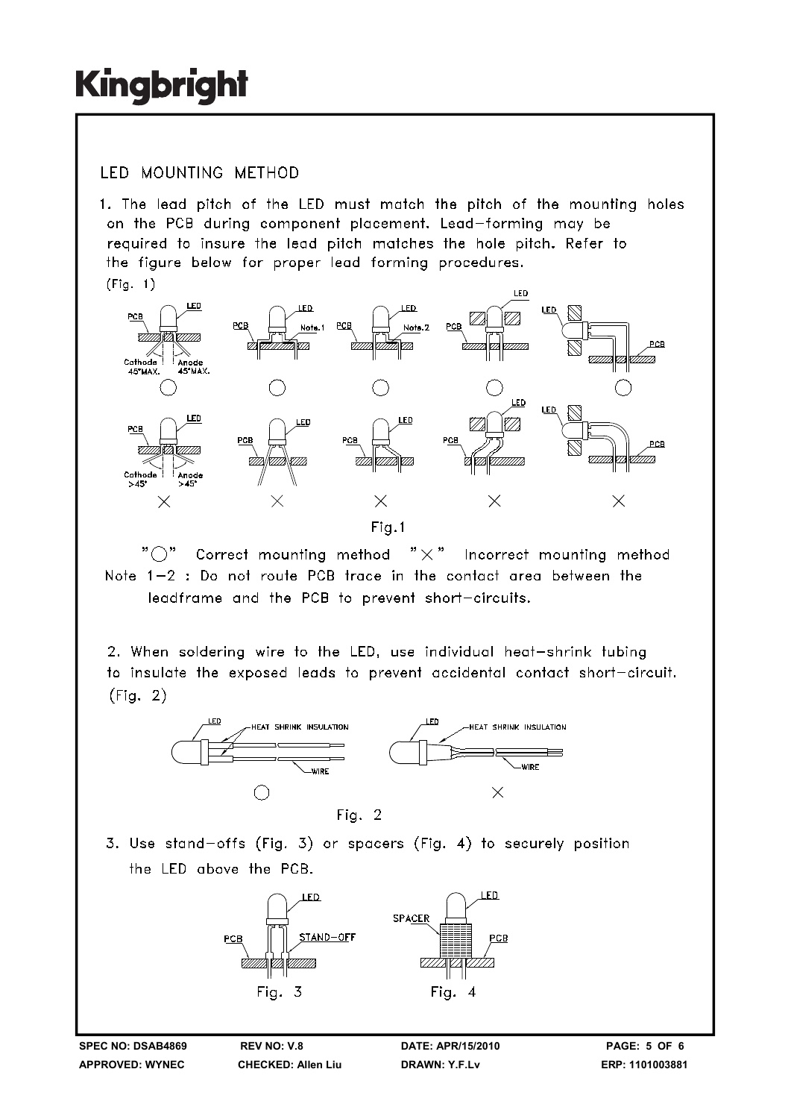### **IFD MOUNTING METHOD**

1. The lead pitch of the LED must match the pitch of the mounting holes on the PCB during component placement. Lead-forming may be required to insure the lead pitch matches the hole pitch. Refer to the figure below for proper lead forming procedures.  $(Fig. 1)$ 



 $"$   $\bigcap"$ Correct mounting method  $" \times"$  Incorrect mounting method Note 1-2 : Do not route PCB trace in the contact area between the leadframe and the PCB to prevent short-circuits.

2. When soldering wire to the LED, use individual heat-shrink tubing to insulate the exposed leads to prevent accidental contact short-circuit.  $(Fiq. 2)$ 



3. Use stand-offs (Fig. 3) or spacers (Fig. 4) to securely position the LED above the PCB.